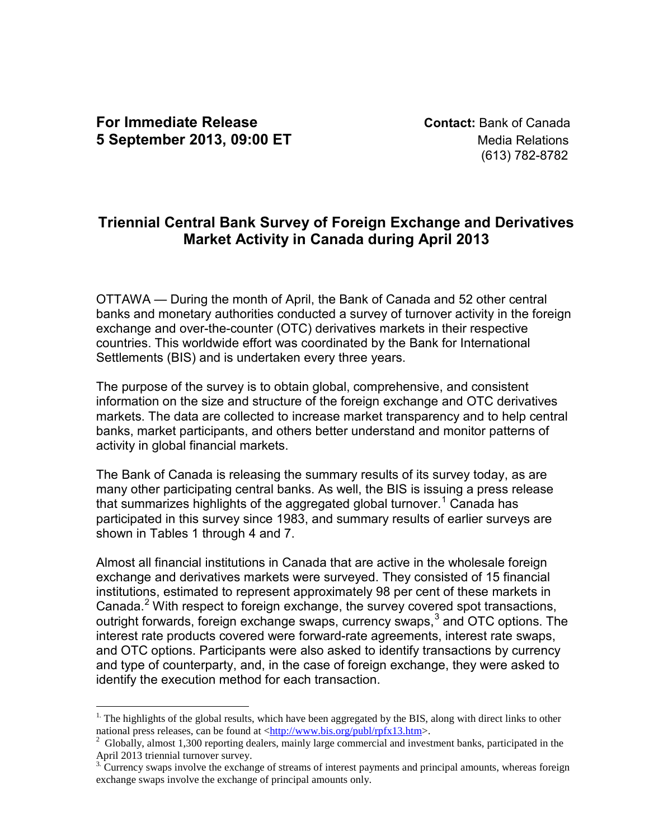$\overline{a}$ 

(613) 782-8782

# **Triennial Central Bank Survey of Foreign Exchange and Derivatives Market Activity in Canada during April 2013**

OTTAWA — During the month of April, the Bank of Canada and 52 other central banks and monetary authorities conducted a survey of turnover activity in the foreign exchange and over-the-counter (OTC) derivatives markets in their respective countries. This worldwide effort was coordinated by the Bank for International Settlements (BIS) and is undertaken every three years.

The purpose of the survey is to obtain global, comprehensive, and consistent information on the size and structure of the foreign exchange and OTC derivatives markets. The data are collected to increase market transparency and to help central banks, market participants, and others better understand and monitor patterns of activity in global financial markets.

The Bank of Canada is releasing the summary results of its survey today, as are many other participating central banks. As well, the BIS is issuing a press release that summarizes highlights of the aggregated global turnover.<sup>[1](#page-0-0)</sup> Canada has participated in this survey since 1983, and summary results of earlier surveys are shown in Tables 1 through 4 and 7.

Almost all financial institutions in Canada that are active in the wholesale foreign exchange and derivatives markets were surveyed. They consisted of 15 financial institutions, estimated to represent approximately 98 per cent of these markets in Canada.<sup>[2](#page-0-1)</sup> With respect to foreign exchange, the survey covered spot transactions, outright forwards, foreign exchange swaps, currency swaps,<sup>[3](#page-0-2)</sup> and OTC options. The interest rate products covered were forward-rate agreements, interest rate swaps, and OTC options. Participants were also asked to identify transactions by currency and type of counterparty, and, in the case of foreign exchange, they were asked to identify the execution method for each transaction.

<span id="page-0-0"></span><sup>&</sup>lt;sup>1.</sup> The highlights of the global results, which have been aggregated by the BIS, along with direct links to other national press releases, can be found at  $\frac{\text{http://www.bis.org/public/rpfx13.htm>}}{$ .

<span id="page-0-1"></span> $^{2}$  Globally, almost 1,300 reporting dealers, mainly large commercial and investment banks, participated in the April 2013 triennial turnover survey.

<span id="page-0-2"></span><sup>&</sup>lt;sup>3.</sup> Currency swaps involve the exchange of streams of interest payments and principal amounts, whereas foreign exchange swaps involve the exchange of principal amounts only.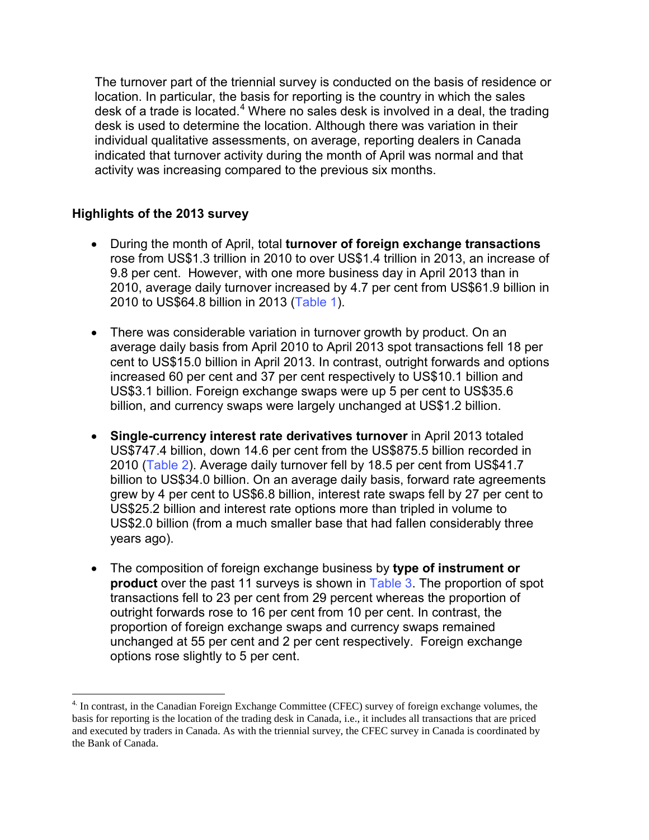The turnover part of the triennial survey is conducted on the basis of residence or location. In particular, the basis for reporting is the country in which the sales desk of a trade is located.<sup>[4](#page-1-0)</sup> Where no sales desk is involved in a deal, the trading desk is used to determine the location. Although there was variation in their individual qualitative assessments, on average, reporting dealers in Canada indicated that turnover activity during the month of April was normal and that activity was increasing compared to the previous six months.

# **Highlights of the 2013 survey**

 $\overline{a}$ 

- During the month of April, total **turnover of foreign exchange transactions** rose from US\$1.3 trillion in 2010 to over US\$1.4 trillion in 2013, an increase of 9.8 per cent. However, with one more business day in April 2013 than in 2010, average daily turnover increased by 4.7 per cent from US\$61.9 billion in 2010 to US\$64.8 billion in 2013 [\(Table 1\)](#page-4-0).
- There was considerable variation in turnover growth by product. On an average daily basis from April 2010 to April 2013 spot transactions fell 18 per cent to US\$15.0 billion in April 2013. In contrast, outright forwards and options increased 60 per cent and 37 per cent respectively to US\$10.1 billion and US\$3.1 billion. Foreign exchange swaps were up 5 per cent to US\$35.6 billion, and currency swaps were largely unchanged at US\$1.2 billion.
- **Single-currency interest rate derivatives turnover** in April 2013 totaled US\$747.4 billion, down 14.6 per cent from the US\$875.5 billion recorded in 2010 ([Table 2\)](#page-4-0). Average daily turnover fell by 18.5 per cent from US\$41.7 billion to US\$34.0 billion. On an average daily basis, forward rate agreements grew by 4 per cent to US\$6.8 billion, interest rate swaps fell by 27 per cent to US\$25.2 billion and interest rate options more than tripled in volume to US\$2.0 billion (from a much smaller base that had fallen considerably three years ago).
- The composition of foreign exchange business by **type of instrument or product** over the past 11 surveys is shown in [Table 3.](#page-5-0) The proportion of spot transactions fell to 23 per cent from 29 percent whereas the proportion of outright forwards rose to 16 per cent from 10 per cent. In contrast, the proportion of foreign exchange swaps and currency swaps remained unchanged at 55 per cent and 2 per cent respectively. Foreign exchange options rose slightly to 5 per cent.

<span id="page-1-0"></span><sup>4.</sup> In contrast, in the Canadian Foreign Exchange Committee (CFEC) survey of foreign exchange volumes, the basis for reporting is the location of the trading desk in Canada, i.e., it includes all transactions that are priced and executed by traders in Canada. As with the triennial survey, the CFEC survey in Canada is coordinated by the Bank of Canada.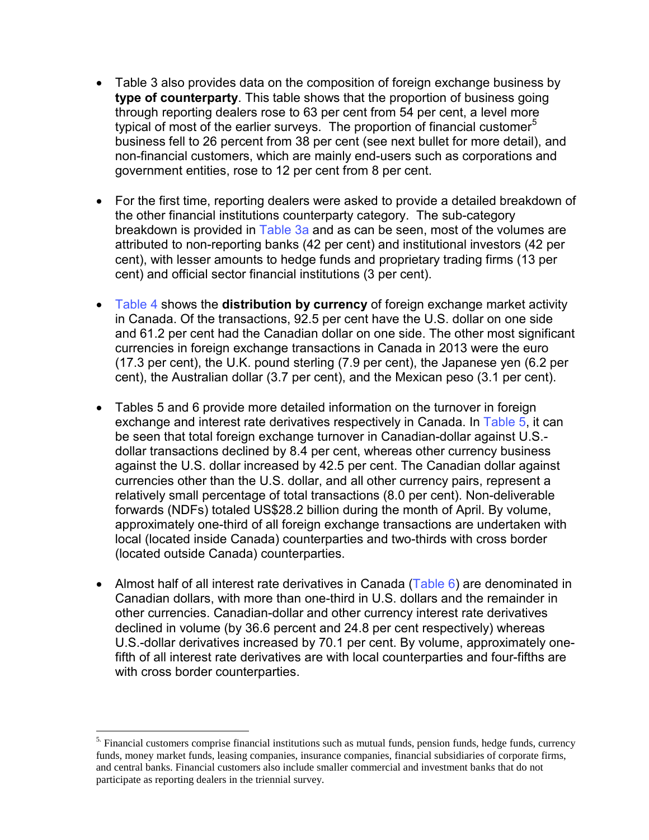- Table 3 also provides data on the composition of foreign exchange business by **type of counterparty**. This table shows that the proportion of business going through reporting dealers rose to 63 per cent from 54 per cent, a level more typical of most of the earlier surveys. The proportion of financial customer<sup>[5](#page-2-0)</sup> business fell to 26 percent from 38 per cent (see next bullet for more detail), and non-financial customers, which are mainly end-users such as corporations and government entities, rose to 12 per cent from 8 per cent.
- For the first time, reporting dealers were asked to provide a detailed breakdown of the other financial institutions counterparty category. The sub-category breakdown is provided in [Table 3a](#page-6-0) and as can be seen, most of the volumes are attributed to non-reporting banks (42 per cent) and institutional investors (42 per cent), with lesser amounts to hedge funds and proprietary trading firms (13 per cent) and official sector financial institutions (3 per cent).
- [Table 4](#page-7-0) shows the **distribution by currency** of foreign exchange market activity in Canada. Of the transactions, 92.5 per cent have the U.S. dollar on one side and 61.2 per cent had the Canadian dollar on one side. The other most significant currencies in foreign exchange transactions in Canada in 2013 were the euro (17.3 per cent), the U.K. pound sterling (7.9 per cent), the Japanese yen (6.2 per cent), the Australian dollar (3.7 per cent), and the Mexican peso (3.1 per cent).
- Tables 5 and 6 provide more detailed information on the turnover in foreign exchange and interest rate derivatives respectively in Canada. In [Table 5,](#page-8-0) it can be seen that total foreign exchange turnover in Canadian-dollar against U.S. dollar transactions declined by 8.4 per cent, whereas other currency business against the U.S. dollar increased by 42.5 per cent. The Canadian dollar against currencies other than the U.S. dollar, and all other currency pairs, represent a relatively small percentage of total transactions (8.0 per cent). Non-deliverable forwards (NDFs) totaled US\$28.2 billion during the month of April. By volume, approximately one-third of all foreign exchange transactions are undertaken with local (located inside Canada) counterparties and two-thirds with cross border (located outside Canada) counterparties.
- Almost half of all interest rate derivatives in Canada (Table  $6$ ) are denominated in Canadian dollars, with more than one-third in U.S. dollars and the remainder in other currencies. Canadian-dollar and other currency interest rate derivatives declined in volume (by 36.6 percent and 24.8 per cent respectively) whereas U.S.-dollar derivatives increased by 70.1 per cent. By volume, approximately onefifth of all interest rate derivatives are with local counterparties and four-fifths are with cross border counterparties.

 $\overline{a}$ 

<span id="page-2-0"></span><sup>&</sup>lt;sup>5.</sup> Financial customers comprise financial institutions such as mutual funds, pension funds, hedge funds, currency funds, money market funds, leasing companies, insurance companies, financial subsidiaries of corporate firms, and central banks. Financial customers also include smaller commercial and investment banks that do not participate as reporting dealers in the triennial survey.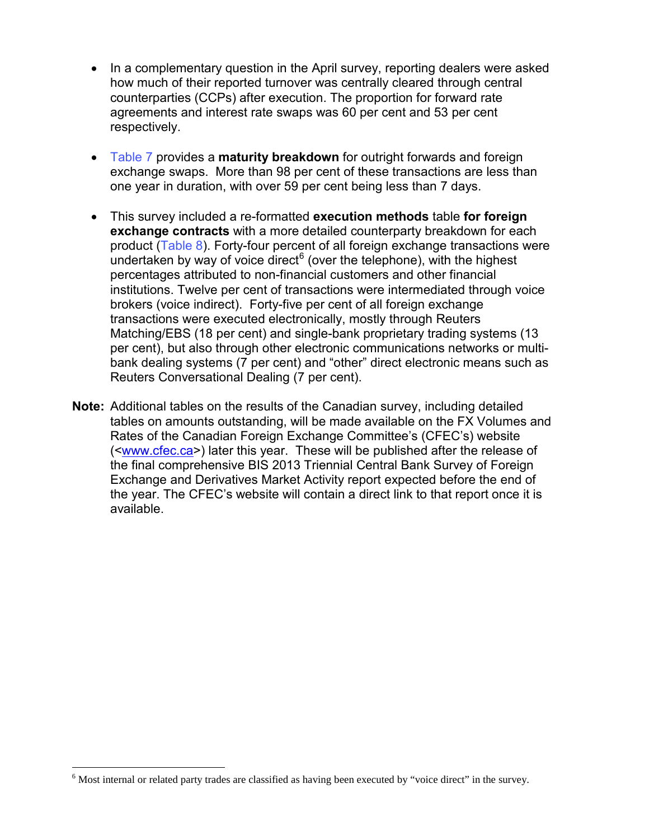- In a complementary question in the April survey, reporting dealers were asked how much of their reported turnover was centrally cleared through central counterparties (CCPs) after execution. The proportion for forward rate agreements and interest rate swaps was 60 per cent and 53 per cent respectively.
- [Table 7](#page-10-0) provides a **maturity breakdown** for outright forwards and foreign exchange swaps. More than 98 per cent of these transactions are less than one year in duration, with over 59 per cent being less than 7 days.
- This survey included a re-formatted **execution methods** table **for foreign exchange contracts** with a more detailed counterparty breakdown for each product ([Table 8\)](#page-11-0). Forty-four percent of all foreign exchange transactions were undertaken by way of voice direct<sup>[6](#page-3-0)</sup> (over the telephone), with the highest percentages attributed to non-financial customers and other financial institutions. Twelve per cent of transactions were intermediated through voice brokers (voice indirect). Forty-five per cent of all foreign exchange transactions were executed electronically, mostly through Reuters Matching/EBS (18 per cent) and single-bank proprietary trading systems (13 per cent), but also through other electronic communications networks or multibank dealing systems (7 per cent) and "other" direct electronic means such as Reuters Conversational Dealing (7 per cent).
- **Note:** Additional tables on the results of the Canadian survey, including detailed tables on amounts outstanding, will be made available on the FX Volumes and Rates of the Canadian Foreign Exchange Committee's (CFEC's) website ([<www.cfec.ca>](http://www.cfec.ca/)) later this year. These will be published after the release of the final comprehensive BIS 2013 Triennial Central Bank Survey of Foreign Exchange and Derivatives Market Activity report expected before the end of the year. The CFEC's website will contain a direct link to that report once it is available.

 $\overline{a}$ 

<span id="page-3-0"></span><sup>&</sup>lt;sup>6</sup> Most internal or related party trades are classified as having been executed by "voice direct" in the survey.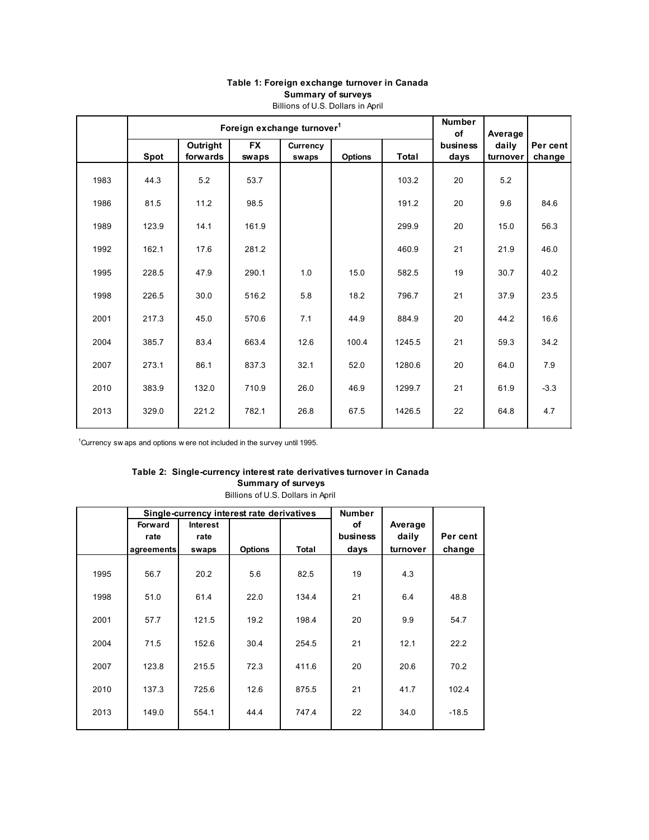<span id="page-4-0"></span>

|      |       | Foreign exchange turnover <sup>1</sup> |                    | <b>Number</b><br><b>of</b> | Average        |        |                  |                   |                    |
|------|-------|----------------------------------------|--------------------|----------------------------|----------------|--------|------------------|-------------------|--------------------|
|      | Spot  | Outright<br>forwards                   | <b>FX</b><br>swaps | Currency<br>swaps          | <b>Options</b> | Total  | business<br>days | daily<br>turnover | Per cent<br>change |
| 1983 | 44.3  | 5.2                                    | 53.7               |                            |                | 103.2  | 20               | 5.2               |                    |
| 1986 | 81.5  | 11.2                                   | 98.5               |                            |                | 191.2  | 20               | 9.6               | 84.6               |
| 1989 | 123.9 | 14.1                                   | 161.9              |                            |                | 299.9  | 20               | 15.0              | 56.3               |
| 1992 | 162.1 | 17.6                                   | 281.2              |                            |                | 460.9  | 21               | 21.9              | 46.0               |
| 1995 | 228.5 | 47.9                                   | 290.1              | 1.0                        | 15.0           | 582.5  | 19               | 30.7              | 40.2               |
| 1998 | 226.5 | 30.0                                   | 516.2              | 5.8                        | 18.2           | 796.7  | 21               | 37.9              | 23.5               |
| 2001 | 217.3 | 45.0                                   | 570.6              | 7.1                        | 44.9           | 884.9  | 20               | 44.2              | 16.6               |
| 2004 | 385.7 | 83.4                                   | 663.4              | 12.6                       | 100.4          | 1245.5 | 21               | 59.3              | 34.2               |
| 2007 | 273.1 | 86.1                                   | 837.3              | 32.1                       | 52.0           | 1280.6 | 20               | 64.0              | 7.9                |
| 2010 | 383.9 | 132.0                                  | 710.9              | 26.0                       | 46.9           | 1299.7 | 21               | 61.9              | $-3.3$             |
| 2013 | 329.0 | 221.2                                  | 782.1              | 26.8                       | 67.5           | 1426.5 | 22               | 64.8              | 4.7                |

### **Table 1: Foreign exchange turnover in Canada Summary of surveys** Billions of U.S. Dollars in April

<sup>1</sup>Currency sw aps and options w ere not included in the survey until 1995.

## **Table 2: Single-currency interest rate derivatives turnover in Canada Summary of surveys**

Billions of U.S. Dollars in April

|      |                |                 | Single-currency interest rate derivatives |              | <b>Number</b> |          |          |
|------|----------------|-----------------|-------------------------------------------|--------------|---------------|----------|----------|
|      | <b>Forward</b> | <b>Interest</b> |                                           |              | of            | Average  |          |
|      | rate           | rate            |                                           |              | business      | daily    | Per cent |
|      | agreements     | swaps           | <b>Options</b>                            | <b>Total</b> | days          | turnover | change   |
| 1995 | 56.7           | 20.2            | 5.6                                       | 82.5         | 19            | 4.3      |          |
| 1998 | 51.0           | 61.4            | 22.0                                      | 134.4        | 21            | 6.4      | 48.8     |
| 2001 | 57.7           | 121.5           | 19.2                                      | 198.4        | 20            | 9.9      | 54.7     |
| 2004 | 71.5           | 152.6           | 30.4                                      | 254.5        | 21            | 12.1     | 22.2     |
| 2007 | 123.8          | 215.5           | 72.3                                      | 411.6        | 20            | 20.6     | 70.2     |
| 2010 | 137.3          | 725.6           | 12.6                                      | 875.5        | 21            | 41.7     | 102.4    |
| 2013 | 149.0          | 554.1           | 44.4                                      | 747.4        | 22            | 34.0     | $-18.5$  |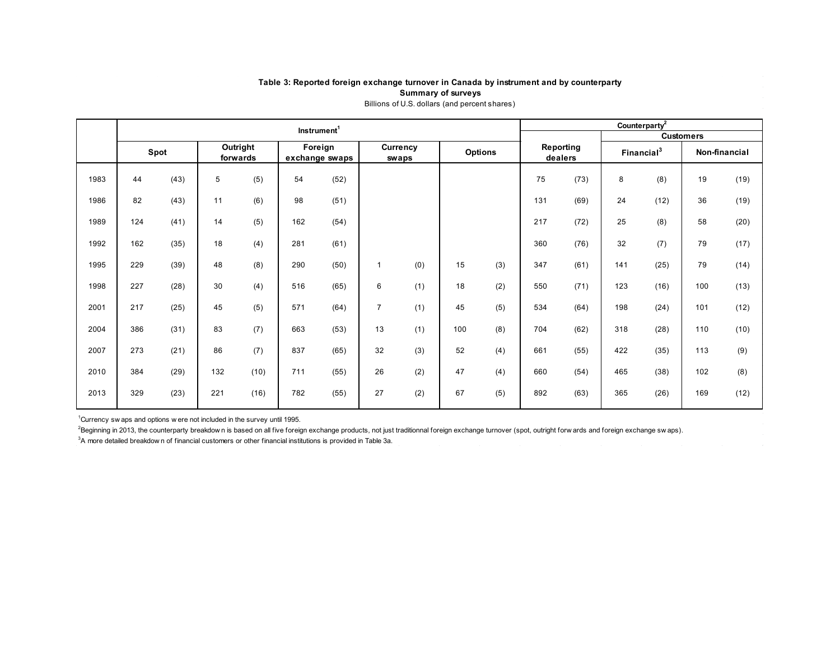### **Table 3: Reported foreign exchange turnover in Canada by instrument and by counterparty Summary of surveys** Billions of U.S. dollars (and percent shares)

<span id="page-5-0"></span>

|      | Instrument <sup>1</sup> |      |     |                      |                           |      |                |                   |     |                | Counterparty <sup>2</sup> |                      |     |                        |                  |      |  |  |
|------|-------------------------|------|-----|----------------------|---------------------------|------|----------------|-------------------|-----|----------------|---------------------------|----------------------|-----|------------------------|------------------|------|--|--|
|      |                         |      |     |                      |                           |      |                |                   |     |                |                           |                      |     |                        | <b>Customers</b> |      |  |  |
|      |                         | Spot |     | Outright<br>forwards | Foreign<br>exchange swaps |      |                | Currency<br>swaps |     | <b>Options</b> |                           | Reporting<br>dealers |     | Financial <sup>3</sup> | Non-financial    |      |  |  |
|      |                         |      |     |                      |                           |      |                |                   |     |                |                           |                      |     |                        |                  |      |  |  |
| 1983 | 44                      | (43) | 5   | (5)                  | 54                        | (52) |                |                   |     |                | 75                        | (73)                 | 8   | (8)                    | 19               | (19) |  |  |
| 1986 | 82                      | (43) | 11  | (6)                  | 98                        | (51) |                |                   |     |                | 131                       | (69)                 | 24  | (12)                   | 36               | (19) |  |  |
| 1989 | 124                     | (41) | 14  | (5)                  | 162                       | (54) |                |                   |     |                | 217                       | (72)                 | 25  | (8)                    | 58               | (20) |  |  |
| 1992 | 162                     | (35) | 18  | (4)                  | 281                       | (61) |                |                   |     |                | 360                       | (76)                 | 32  | (7)                    | 79               | (17) |  |  |
| 1995 | 229                     | (39) | 48  | (8)                  | 290                       | (50) | 1              | (0)               | 15  | (3)            | 347                       | (61)                 | 141 | (25)                   | 79               | (14) |  |  |
| 1998 | 227                     | (28) | 30  | (4)                  | 516                       | (65) | 6              | (1)               | 18  | (2)            | 550                       | (71)                 | 123 | (16)                   | 100              | (13) |  |  |
| 2001 | 217                     | (25) | 45  | (5)                  | 571                       | (64) | $\overline{7}$ | (1)               | 45  | (5)            | 534                       | (64)                 | 198 | (24)                   | 101              | (12) |  |  |
| 2004 | 386                     | (31) | 83  | (7)                  | 663                       | (53) | 13             | (1)               | 100 | (8)            | 704                       | (62)                 | 318 | (28)                   | 110              | (10) |  |  |
| 2007 | 273                     | (21) | 86  | (7)                  | 837                       | (65) | 32             | (3)               | 52  | (4)            | 661                       | (55)                 | 422 | (35)                   | 113              | (9)  |  |  |
| 2010 | 384                     | (29) | 132 | (10)                 | 711                       | (55) | 26             | (2)               | 47  | (4)            | 660                       | (54)                 | 465 | (38)                   | 102              | (8)  |  |  |
| 2013 | 329                     | (23) | 221 | (16)                 | 782                       | (55) | 27             | (2)               | 67  | (5)            | 892                       | (63)                 | 365 | (26)                   | 169              | (12) |  |  |

<sup>1</sup>Currency sw aps and options w ere not included in the survey until 1995.

<sup>2</sup>Beginning in 2013, the counterparty breakdow n is based on all five foreign exchange products, not just traditionnal foreign exchange turnover (spot, outright forw ards and foreign exchange sw aps).

<sup>3</sup>A more detailed breakdow n of financial customers or other financial institutions is provided in Table 3a.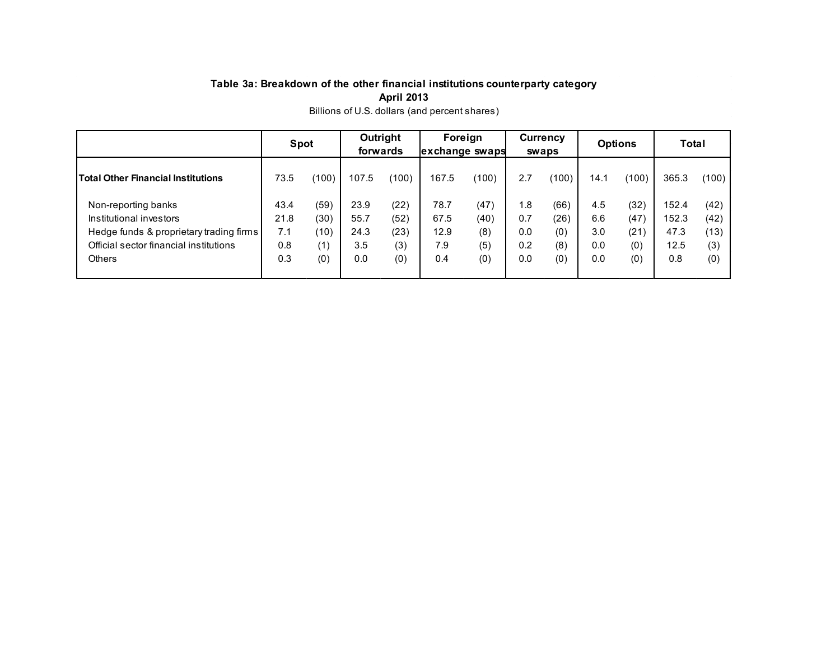# **Table 3a: Breakdown of the other financial institutions counterparty category April 2013**

<span id="page-6-0"></span>

|                                         | <b>Spot</b> |       | Outright<br>forwards |       | Foreign<br>exchange swaps |       | <b>Currency</b><br>swaps |       | <b>Options</b> |       | <b>Total</b> |       |
|-----------------------------------------|-------------|-------|----------------------|-------|---------------------------|-------|--------------------------|-------|----------------|-------|--------------|-------|
| Total Other Financial Institutions      | 73.5        | (100) | 107.5                | (100) | 167.5                     | (100) | 2.7                      | (100) | 14.1           | (100) | 365.3        | (100) |
| Non-reporting banks                     | 43.4        | (59)  | 23.9                 | (22)  | 78.7                      | (47)  | 1.8                      | (66)  | 4.5            | (32)  | 152.4        | (42)  |
| Institutional investors                 | 21.8        | (30)  | 55.7                 | (52)  | 67.5                      | (40)  | 0.7                      | (26)  | 6.6            | (47)  | 152.3        | (42)  |
| Hedge funds & proprietary trading firms | 7.1         | (10)  | 24.3                 | (23)  | 12.9                      | (8)   | 0.0                      | (0)   | 3.0            | (21)  | 47.3         | (13)  |
| Official sector financial institutions  | 0.8         | (1)   |                      | (3)   | 7.9                       | (5)   | 0.2                      | (8)   | 0.0            | (0)   | 12.5         | (3)   |
| <b>Others</b>                           | 0.3         | (0)   |                      | (0)   | 0.4                       | (0)   | 0.0                      | (0)   | 0.0            | (0)   | 0.8          | (0)   |

Billions of U.S. dollars (and percent shares)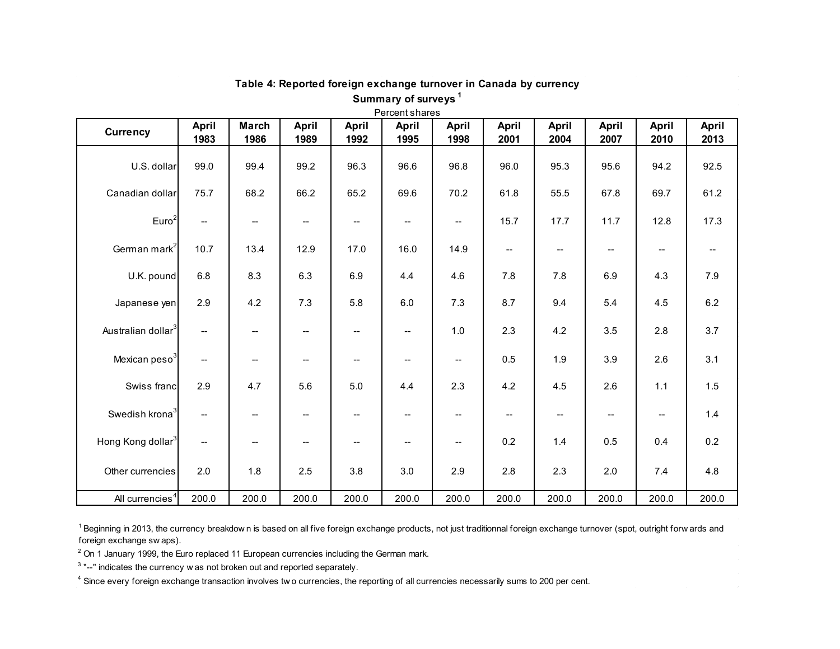<span id="page-7-0"></span>

| <b>Currency</b>                | <b>April</b>             | <b>March</b>             | <b>April</b>                        | <b>April</b>             | <b>April</b>                        | April                                         | <b>April</b>             | <b>April</b>             | <b>April</b>                       | <b>April</b>             | April |
|--------------------------------|--------------------------|--------------------------|-------------------------------------|--------------------------|-------------------------------------|-----------------------------------------------|--------------------------|--------------------------|------------------------------------|--------------------------|-------|
|                                | 1983                     | 1986                     | 1989                                | 1992                     | 1995                                | 1998                                          | 2001                     | 2004                     | 2007                               | 2010                     | 2013  |
| U.S. dollar                    | 99.0                     | 99.4                     | 99.2                                | 96.3                     | 96.6                                | 96.8                                          | 96.0                     | 95.3                     | 95.6                               | 94.2                     | 92.5  |
| Canadian dollar                | 75.7                     | 68.2                     | 66.2                                | 65.2                     | 69.6                                | 70.2                                          | 61.8                     | 55.5                     | 67.8                               | 69.7                     | 61.2  |
| Euro <sup>2</sup>              | $\overline{\phantom{a}}$ | --                       | --                                  | $- -$                    | $\hspace{0.05cm}$ $\hspace{0.05cm}$ | $\mathord{\hspace{1pt}\text{--}\hspace{1pt}}$ | 15.7                     | 17.7                     | 11.7                               | 12.8                     | 17.3  |
| German mark <sup>2</sup>       | 10.7                     | 13.4                     | 12.9                                | 17.0                     | 16.0                                | 14.9                                          | $\overline{\phantom{a}}$ | $-\!$                    | $\hspace{0.05cm} -\hspace{0.05cm}$ | $-\!$                    |       |
| U.K. pound                     | 6.8                      | 8.3                      | 6.3                                 | 6.9                      | 4.4                                 | 4.6                                           | 7.8                      | 7.8                      | 6.9                                | 4.3                      | 7.9   |
| Japanese yen                   | 2.9                      | 4.2                      | 7.3                                 | 5.8                      | 6.0                                 | 7.3                                           | 8.7                      | 9.4                      | 5.4                                | 4.5                      | 6.2   |
| Australian dollar <sup>3</sup> | $\overline{\phantom{a}}$ | $\overline{\phantom{a}}$ | --                                  | $\overline{\phantom{a}}$ | $\overline{\phantom{a}}$            | 1.0                                           | 2.3                      | 4.2                      | 3.5                                | 2.8                      | 3.7   |
| Mexican peso <sup>3</sup>      | --                       | $\overline{\phantom{a}}$ | $\hspace{0.05cm}$ $\hspace{0.05cm}$ | $\overline{\phantom{a}}$ | $\overline{\phantom{a}}$            | $\overline{\phantom{m}}$                      | 0.5                      | 1.9                      | 3.9                                | 2.6                      | 3.1   |
| Swiss franc                    | 2.9                      | 4.7                      | 5.6                                 | $5.0$                    | 4.4                                 | 2.3                                           | 4.2                      | 4.5                      | 2.6                                | $1.1$                    | 1.5   |
| Swedish krona <sup>3</sup>     | $\overline{\phantom{a}}$ | $\overline{\phantom{a}}$ | $\hspace{0.05cm}$ $\hspace{0.05cm}$ | $\overline{\phantom{m}}$ | $\overline{\phantom{a}}$            | $\overline{\phantom{a}}$                      | $\overline{\phantom{a}}$ | $\overline{\phantom{a}}$ | $\overline{\phantom{a}}$           | $\overline{\phantom{a}}$ | 1.4   |
| Hong Kong dollar <sup>3</sup>  | $\hspace{0.05cm}$        | $\overline{\phantom{a}}$ | $\hspace{0.05cm}$ $\hspace{0.05cm}$ | $\overline{\phantom{a}}$ | $\overline{\phantom{a}}$            | $\hspace{0.05cm}$ – $\hspace{0.05cm}$         | 0.2                      | 1.4                      | 0.5                                | 0.4                      | 0.2   |
| Other currencies               | 2.0                      | 1.8                      | 2.5                                 | 3.8                      | 3.0                                 | 2.9                                           | 2.8                      | 2.3                      | 2.0                                | 7.4                      | 4.8   |
| All currencies <sup>4</sup>    | 200.0                    | 200.0                    | 200.0                               | 200.0                    | 200.0                               | 200.0                                         | 200.0                    | 200.0                    | 200.0                              | 200.0                    | 200.0 |

## **Table 4: Reported foreign exchange turnover in Canada by currency Summary of surveys <sup>1</sup>**

<sup>1</sup> Beginning in 2013, the currency breakdown is based on all five foreign exchange products, not just traditionnal foreign exchange turnover (spot, outright forw ards and foreign exchange sw aps).

 $2$  On 1 January 1999, the Euro replaced 11 European currencies including the German mark.

 $3$  "--" indicates the currency w as not broken out and reported separately.

<sup>4</sup> Since every foreign exchange transaction involves two currencies, the reporting of all currencies necessarily sums to 200 per cent.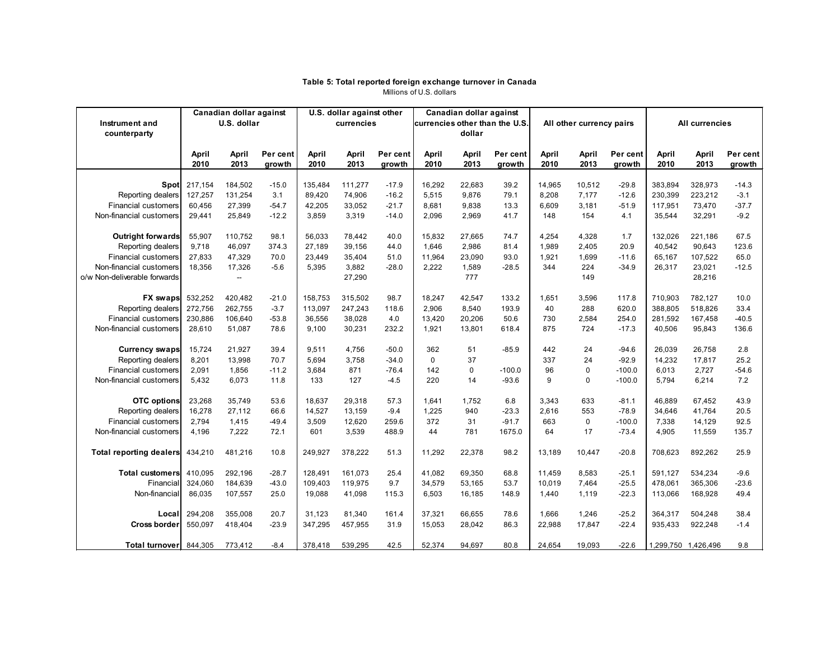#### **Table 5: Total reported foreign exchange turnover in Canada** Millions of U.S. dollars

<span id="page-8-0"></span>

|                                | Canadian dollar against |                          | U.S. dollar against other |                    |                    | Canadian dollar against |                                |                 |                |             |                          |                |                    |                     |              |
|--------------------------------|-------------------------|--------------------------|---------------------------|--------------------|--------------------|-------------------------|--------------------------------|-----------------|----------------|-------------|--------------------------|----------------|--------------------|---------------------|--------------|
| Instrument and                 |                         | U.S. dollar              |                           |                    | currencies         |                         | currencies other than the U.S. |                 |                |             | All other currency pairs |                | All currencies     |                     |              |
| counterparty                   |                         |                          |                           |                    |                    |                         |                                | dollar          |                |             |                          |                |                    |                     |              |
|                                | April                   | April                    | Per cent                  | April              | April              | Per cent                | April                          | April           | Per cent       | April       | April                    | Per cent       | April              | April               | Per cent     |
|                                | 2010                    | 2013                     | growth                    | 2010               | 2013               | growth                  | 2010                           | 2013            | growth         | 2010        | 2013                     | growth         | 2010               | 2013                | growth       |
|                                |                         |                          |                           |                    |                    |                         |                                |                 |                |             |                          |                |                    |                     |              |
| <b>Spot</b>                    | 217,154                 | 184,502                  | $-15.0$                   | 135,484            | 111,277            | $-17.9$                 | 16,292                         | 22,683          | 39.2           | 14,965      | 10,512                   | $-29.8$        | 383,894            | 328,973             | $-14.3$      |
| Reporting dealers              | 127,257                 | 131,254                  | 3.1                       | 89,420             | 74,906             | $-16.2$                 | 5,515                          | 9,876           | 79.1           | 8,208       | 7,177                    | $-12.6$        | 230,399            | 223,212             | $-3.1$       |
| Financial customers            | 60,456                  | 27,399                   | $-54.7$                   | 42,205             | 33,052             | $-21.7$                 | 8,681                          | 9,838           | 13.3           | 6,609       | 3,181                    | $-51.9$        | 117,951            | 73,470              | $-37.7$      |
| Non-financial customers        | 29,441                  | 25,849                   | $-12.2$                   | 3,859              | 3,319              | $-14.0$                 | 2,096                          | 2,969           | 41.7           | 148         | 154                      | 4.1            | 35,544             | 32,291              | $-9.2$       |
|                                |                         |                          |                           |                    |                    |                         |                                |                 |                |             |                          |                |                    |                     |              |
| Outright forwards              | 55,907                  | 110,752                  | 98.1                      | 56,033             | 78,442             | 40.0                    | 15,832                         | 27,665          | 74.7           | 4,254       | 4,328                    | 1.7            | 132,026            | 221,186             | 67.5         |
| Reporting dealers              | 9,718                   | 46,097                   | 374.3                     | 27,189             | 39,156             | 44.0                    | 1,646                          | 2,986           | 81.4           | 1,989       | 2,405                    | 20.9           | 40,542             | 90,643              | 123.6        |
| <b>Financial customers</b>     | 27,833                  | 47,329                   | 70.0                      | 23,449             | 35,404             | 51.0                    | 11,964                         | 23,090          | 93.0           | 1,921       | 1,699                    | $-11.6$        | 65,167             | 107,522             | 65.0         |
| Non-financial customers        | 18,356                  | 17,326                   | $-5.6$                    | 5,395              | 3,882              | $-28.0$                 | 2,222                          | 1,589           | $-28.5$        | 344         | 224                      | $-34.9$        | 26,317             | 23,021              | $-12.5$      |
| o/w Non-deliverable forwards   |                         | $\overline{\phantom{a}}$ |                           |                    | 27,290             |                         |                                | 777             |                |             | 149                      |                |                    | 28,216              |              |
| <b>FX</b> swaps                |                         |                          |                           |                    |                    |                         |                                |                 |                |             |                          |                |                    |                     |              |
| Reporting dealers              | 532,252<br>272,756      | 420,482<br>262,755       | $-21.0$<br>$-3.7$         | 158,753<br>113,097 | 315,502<br>247,243 | 98.7<br>118.6           | 18,247<br>2,906                | 42,547<br>8,540 | 133.2<br>193.9 | 1,651<br>40 | 3,596<br>288             | 117.8<br>620.0 | 710,903<br>388,805 | 782,127<br>518,826  | 10.0<br>33.4 |
| <b>Financial customers</b>     | 230,886                 | 106,640                  | $-53.8$                   | 36,556             | 38,028             | 4.0                     | 13,420                         | 20,206          | 50.6           | 730         | 2,584                    | 254.0          | 281,592            | 167,458             | $-40.5$      |
| Non-financial customers        | 28,610                  | 51,087                   | 78.6                      | 9,100              | 30,231             | 232.2                   | 1,921                          | 13,801          | 618.4          | 875         | 724                      | $-17.3$        | 40,506             | 95,843              | 136.6        |
|                                |                         |                          |                           |                    |                    |                         |                                |                 |                |             |                          |                |                    |                     |              |
| <b>Currency swaps</b>          | 15,724                  | 21,927                   | 39.4                      | 9,511              | 4,756              | $-50.0$                 | 362                            | 51              | $-85.9$        | 442         | 24                       | $-94.6$        | 26,039             | 26,758              | 2.8          |
| Reporting dealers              | 8,201                   | 13,998                   | 70.7                      | 5.694              | 3,758              | $-34.0$                 | 0                              | 37              |                | 337         | 24                       | $-92.9$        | 14,232             | 17,817              | 25.2         |
| <b>Financial customers</b>     | 2,091                   | 1,856                    | $-11.2$                   | 3,684              | 871                | $-76.4$                 | 142                            | 0               | $-100.0$       | 96          | 0                        | $-100.0$       | 6,013              | 2,727               | $-54.6$      |
| Non-financial customers        | 5,432                   | 6,073                    | 11.8                      | 133                | 127                | $-4.5$                  | 220                            | 14              | $-93.6$        | 9           | 0                        | $-100.0$       | 5,794              | 6,214               | 7.2          |
|                                |                         |                          |                           |                    |                    |                         |                                |                 |                |             |                          |                |                    |                     |              |
| <b>OTC</b> options             | 23,268                  | 35,749                   | 53.6                      | 18,637             | 29,318             | 57.3                    | 1,641                          | 1,752           | 6.8            | 3,343       | 633                      | $-81.1$        | 46,889             | 67,452              | 43.9         |
| Reporting dealers              | 16,278                  | 27,112                   | 66.6                      | 14,527             | 13,159             | $-9.4$                  | 1,225                          | 940             | $-23.3$        | 2,616       | 553                      | $-78.9$        | 34,646             | 41,764              | 20.5         |
| <b>Financial customers</b>     | 2,794                   | 1,415                    | $-49.4$                   | 3,509              | 12,620             | 259.6                   | 372                            | 31              | $-91.7$        | 663         | 0                        | $-100.0$       | 7,338              | 14,129              | 92.5         |
| Non-financial customers        | 4,196                   | 7,222                    | 72.1                      | 601                | 3,539              | 488.9                   | 44                             | 781             | 1675.0         | 64          | 17                       | $-73.4$        | 4,905              | 11,559              | 135.7        |
|                                |                         |                          |                           |                    |                    |                         |                                |                 |                |             |                          |                |                    |                     |              |
| <b>Total reporting dealers</b> | 434,210                 | 481,216                  | 10.8                      | 249,927            | 378,222            | 51.3                    | 11,292                         | 22,378          | 98.2           | 13,189      | 10,447                   | $-20.8$        | 708,623            | 892,262             | 25.9         |
|                                |                         |                          |                           |                    |                    |                         |                                |                 |                |             |                          |                |                    |                     |              |
| Total customers                | 410,095                 | 292,196                  | $-28.7$                   | 128,491            | 161,073            | 25.4                    | 41,082                         | 69,350          | 68.8           | 11,459      | 8,583                    | $-25.1$        | 591.127            | 534,234             | $-9.6$       |
| Financial                      | 324,060                 | 184,639                  | $-43.0$                   | 109,403            | 119,975            | 9.7                     | 34,579                         | 53,165          | 53.7           | 10,019      | 7,464                    | $-25.5$        | 478,061            | 365,306             | $-23.6$      |
| Non-financial                  | 86,035                  | 107,557                  | 25.0                      | 19,088             | 41,098             | 115.3                   | 6,503                          | 16,185          | 148.9          | 1,440       | 1,119                    | $-22.3$        | 113,066            | 168,928             | 49.4         |
| Local                          | 294,208                 | 355,008                  | 20.7                      | 31,123             | 81,340             | 161.4                   | 37,321                         | 66,655          | 78.6           | 1,666       | 1,246                    | $-25.2$        | 364,317            | 504,248             | 38.4         |
| <b>Cross border</b>            | 550,097                 | 418,404                  | $-23.9$                   | 347,295            | 457,955            | 31.9                    | 15,053                         | 28,042          | 86.3           | 22,988      | 17,847                   | $-22.4$        | 935,433            | 922,248             | $-1.4$       |
|                                |                         |                          |                           |                    |                    |                         |                                |                 |                |             |                          |                |                    |                     |              |
| Total turnover                 | 844,305                 | 773,412                  | $-8.4$                    | 378,418            | 539,295            | 42.5                    | 52,374                         | 94,697          | 80.8           | 24,654      | 19,093                   | $-22.6$        |                    | 1,299,750 1,426,496 | 9.8          |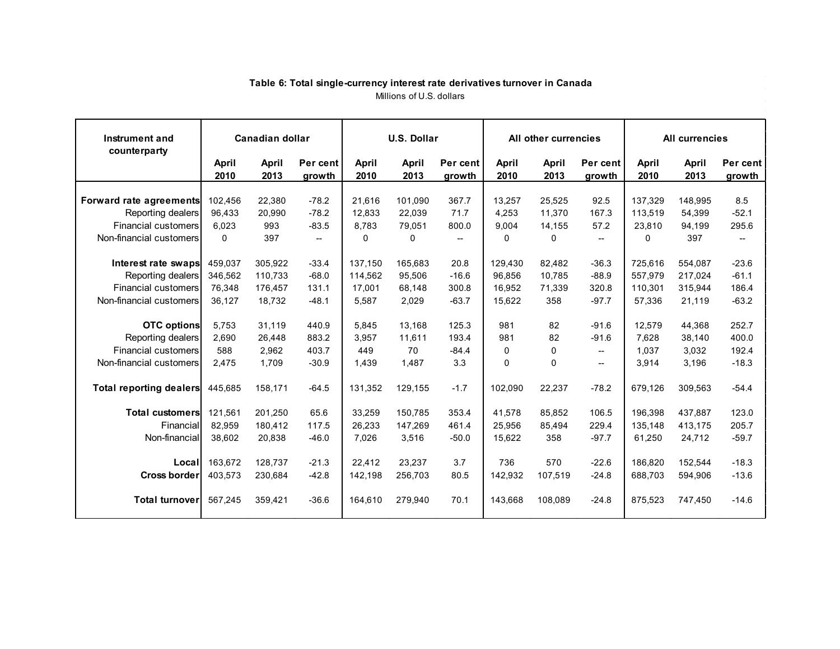<span id="page-9-0"></span>

| Instrument and<br>counterparty                  | Canadian dollar   |                    |                                                     | <b>U.S. Dollar</b> |                  |                    |                  | All other currencies |                    | <b>All currencies</b> |                    |                    |
|-------------------------------------------------|-------------------|--------------------|-----------------------------------------------------|--------------------|------------------|--------------------|------------------|----------------------|--------------------|-----------------------|--------------------|--------------------|
|                                                 | April<br>2010     | April<br>2013      | Per cent<br>growth                                  | April<br>2010      | April<br>2013    | Per cent<br>growth | April<br>2010    | April<br>2013        | Per cent<br>growth | April<br>2010         | April<br>2013      | Per cent<br>growth |
| Forward rate agreements                         | 102.456           | 22.380             | $-78.2$                                             | 21.616             | 101.090          | 367.7              | 13.257           | 25.525               | 92.5               | 137.329               | 148.995            | 8.5                |
| Reporting dealers<br><b>Financial customers</b> | 96.433<br>6.023   | 20.990<br>993      | $-78.2$<br>$-83.5$                                  | 12.833<br>8.783    | 22.039<br>79,051 | 71.7<br>800.0      | 4.253<br>9.004   | 11.370<br>14,155     | 167.3<br>57.2      | 113.519<br>23,810     | 54.399<br>94,199   | $-52.1$<br>295.6   |
| Non-financial customers                         | 0                 | 397                | $\hspace{0.05cm} -\hspace{0.05cm} -\hspace{0.05cm}$ | 0                  | 0                | $- -$              | 0                | 0                    | $--$               | 0                     | 397                | $- -$              |
| Interest rate swaps                             | 459.037           | 305,922            | $-33.4$                                             | 137,150            | 165,683          | 20.8               | 129,430          | 82,482               | $-36.3$            | 725.616               | 554,087            | $-23.6$            |
| Reporting dealers<br><b>Financial customers</b> | 346.562<br>76.348 | 110,733<br>176,457 | $-68.0$<br>131.1                                    | 114,562<br>17.001  | 95,506<br>68.148 | $-16.6$<br>300.8   | 96,856<br>16.952 | 10,785<br>71,339     | $-88.9$<br>320.8   | 557,979<br>110,301    | 217,024<br>315,944 | $-61.1$<br>186.4   |
| Non-financial customers                         | 36,127            | 18,732             | $-48.1$                                             | 5,587              | 2,029            | $-63.7$            | 15,622           | 358                  | $-97.7$            | 57,336                | 21,119             | $-63.2$            |
| <b>OTC</b> options                              | 5.753             | 31.119             | 440.9                                               | 5.845              | 13.168           | 125.3              | 981              | 82                   | $-91.6$            | 12.579                | 44.368             | 252.7              |
| Reporting dealers                               | 2,690             | 26,448             | 883.2                                               | 3,957              | 11,611           | 193.4              | 981              | 82                   | $-91.6$            | 7.628                 | 38,140             | 400.0              |
| <b>Financial customers</b>                      | 588               | 2.962              | 403.7                                               | 449                | 70               | $-84.4$            | $\mathbf{0}$     | 0                    | $--$               | 1.037                 | 3,032              | 192.4              |
| Non-financial customers                         | 2,475             | 1,709              | $-30.9$                                             | 1,439              | 1,487            | 3.3                | 0                | 0                    | --                 | 3,914                 | 3,196              | $-18.3$            |
| <b>Total reporting dealers</b>                  | 445.685           | 158.171            | $-64.5$                                             | 131.352            | 129.155          | $-1.7$             | 102.090          | 22,237               | $-78.2$            | 679.126               | 309,563            | $-54.4$            |
| <b>Total customersl</b>                         | 121.561           | 201.250            | 65.6                                                | 33,259             | 150.785          | 353.4              | 41.578           | 85,852               | 106.5              | 196.398               | 437.887            | 123.0              |
| Financial                                       | 82.959            | 180.412            | 117.5                                               | 26.233             | 147.269          | 461.4              | 25.956           | 85.494               | 229.4              | 135.148               | 413.175            | 205.7              |
| Non-financial                                   | 38.602            | 20,838             | $-46.0$                                             | 7.026              | 3,516            | $-50.0$            | 15,622           | 358                  | $-97.7$            | 61,250                | 24,712             | $-59.7$            |
| Local                                           | 163.672           | 128.737            | $-21.3$                                             | 22.412             | 23.237           | 3.7                | 736              | 570                  | $-22.6$            | 186.820               | 152.544            | $-18.3$            |
| Cross border                                    | 403,573           | 230,684            | $-42.8$                                             | 142,198            | 256,703          | 80.5               | 142,932          | 107.519              | $-24.8$            | 688,703               | 594,906            | $-13.6$            |
| <b>Total turnover</b>                           | 567,245           | 359,421            | $-36.6$                                             | 164,610            | 279,940          | 70.1               | 143,668          | 108,089              | $-24.8$            | 875,523               | 747,450            | $-14.6$            |

## **Table 6: Total single-currency interest rate derivatives turnover in Canada** Millions of U.S. dollars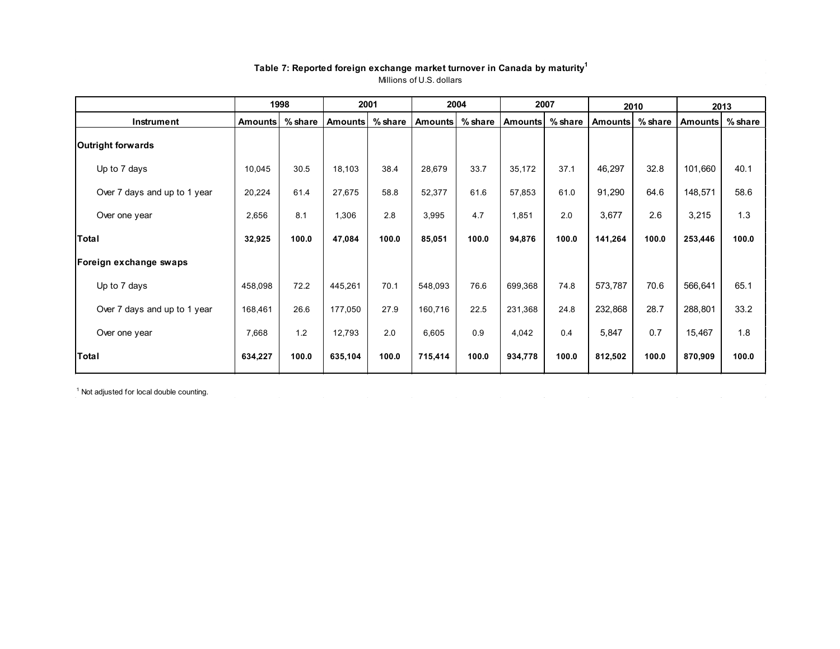<span id="page-10-0"></span>

|                              |                | 1998      |                | 2001      |         | 2004      |                | 2007      | 2010           |           | 2013           |           |
|------------------------------|----------------|-----------|----------------|-----------|---------|-----------|----------------|-----------|----------------|-----------|----------------|-----------|
| Instrument                   | <b>Amounts</b> | $%$ share | <b>Amounts</b> | $%$ share | Amounts | $%$ share | <b>Amounts</b> | $%$ share | <b>Amounts</b> | $%$ share | <b>Amounts</b> | $%$ share |
| Outright forwards            |                |           |                |           |         |           |                |           |                |           |                |           |
| Up to 7 days                 | 10,045         | 30.5      | 18,103         | 38.4      | 28,679  | 33.7      | 35,172         | 37.1      | 46,297         | 32.8      | 101,660        | 40.1      |
| Over 7 days and up to 1 year | 20,224         | 61.4      | 27,675         | 58.8      | 52,377  | 61.6      | 57,853         | 61.0      | 91,290         | 64.6      | 148,571        | 58.6      |
| Over one year                | 2,656          | 8.1       | 1,306          | 2.8       | 3,995   | 4.7       | 1,851          | 2.0       | 3,677          | 2.6       | 3,215          | 1.3       |
| Total                        | 32,925         | 100.0     | 47,084         | 100.0     | 85,051  | 100.0     | 94,876         | 100.0     | 141,264        | 100.0     | 253,446        | 100.0     |
| Foreign exchange swaps       |                |           |                |           |         |           |                |           |                |           |                |           |
| Up to 7 days                 | 458,098        | 72.2      | 445,261        | 70.1      | 548,093 | 76.6      | 699,368        | 74.8      | 573,787        | 70.6      | 566,641        | 65.1      |
| Over 7 days and up to 1 year | 168,461        | 26.6      | 177,050        | 27.9      | 160,716 | 22.5      | 231,368        | 24.8      | 232,868        | 28.7      | 288,801        | 33.2      |
| Over one year                | 7,668          | 1.2       | 12,793         | 2.0       | 6,605   | 0.9       | 4,042          | 0.4       | 5,847          | 0.7       | 15,467         | 1.8       |
| <b>Total</b>                 | 634,227        | 100.0     | 635,104        | 100.0     | 715,414 | 100.0     | 934,778        | 100.0     | 812,502        | 100.0     | 870,909        | 100.0     |

### **Table 7: Reported foreign exchange market turnover in Canada by maturity1** Millions of U.S. dollars

<sup>1</sup> Not adjusted for local double counting.